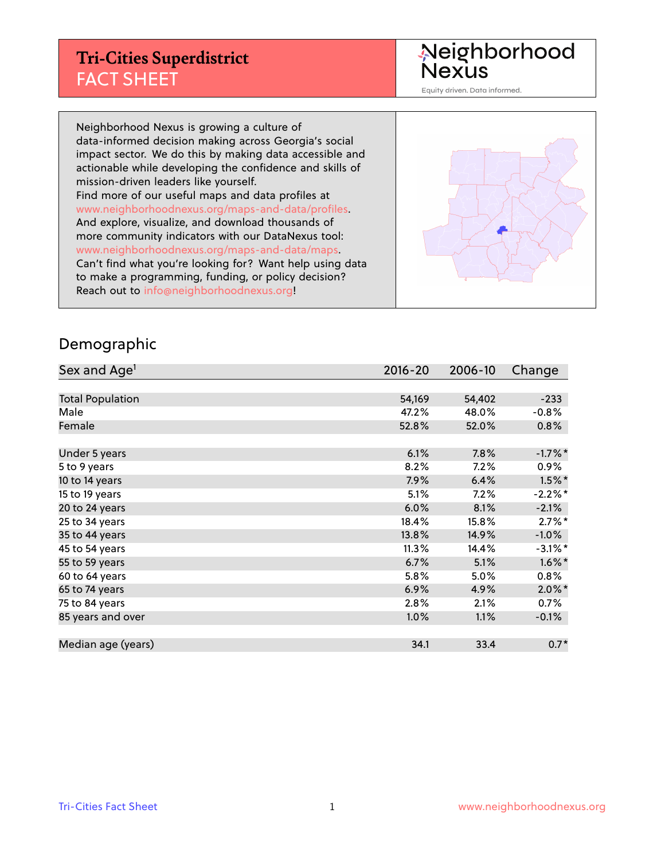#### **Tri-Cities Superdistrict** FACT SHEET

Neighborhood<br>Nexus

Equity driven. Data informed.

Neighborhood Nexus is growing a culture of data-informed decision making across Georgia's social impact sector. We do this by making data accessible and actionable while developing the confidence and skills of mission-driven leaders like yourself. Find more of our useful maps and data profiles at www.neighborhoodnexus.org/maps-and-data/profiles. And explore, visualize, and download thousands of more community indicators with our DataNexus tool: www.neighborhoodnexus.org/maps-and-data/maps. Can't find what you're looking for? Want help using data to make a programming, funding, or policy decision? Reach out to [info@neighborhoodnexus.org!](mailto:info@neighborhoodnexus.org)



#### Demographic

| Sex and Age <sup>1</sup> | $2016 - 20$ | 2006-10 | Change     |
|--------------------------|-------------|---------|------------|
|                          |             |         |            |
| <b>Total Population</b>  | 54,169      | 54,402  | $-233$     |
| Male                     | 47.2%       | 48.0%   | $-0.8%$    |
| Female                   | 52.8%       | 52.0%   | $0.8\%$    |
|                          |             |         |            |
| Under 5 years            | 6.1%        | 7.8%    | $-1.7%$ *  |
| 5 to 9 years             | 8.2%        | 7.2%    | $0.9\%$    |
| 10 to 14 years           | 7.9%        | 6.4%    | $1.5\%$ *  |
| 15 to 19 years           | 5.1%        | 7.2%    | $-2.2%$ *  |
| 20 to 24 years           | 6.0%        | 8.1%    | $-2.1%$    |
| 25 to 34 years           | 18.4%       | 15.8%   | $2.7\%$ *  |
| 35 to 44 years           | 13.8%       | 14.9%   | $-1.0%$    |
| 45 to 54 years           | 11.3%       | 14.4%   | $-3.1\%$ * |
| 55 to 59 years           | 6.7%        | 5.1%    | $1.6\%$ *  |
| 60 to 64 years           | 5.8%        | 5.0%    | $0.8\%$    |
| 65 to 74 years           | 6.9%        | 4.9%    | $2.0\%$ *  |
| 75 to 84 years           | 2.8%        | 2.1%    | $0.7\%$    |
| 85 years and over        | 1.0%        | 1.1%    | $-0.1\%$   |
|                          |             |         |            |
| Median age (years)       | 34.1        | 33.4    | $0.7*$     |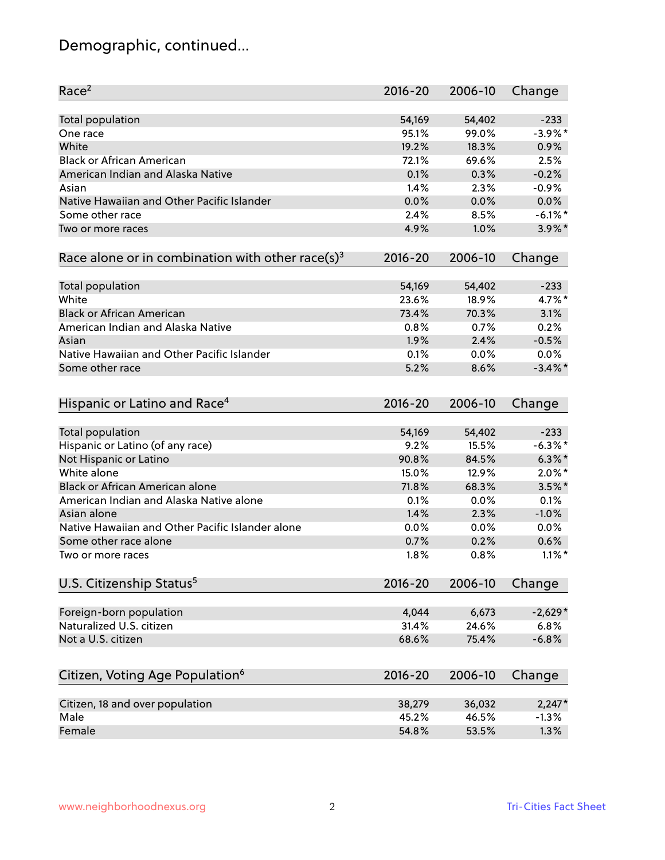# Demographic, continued...

| Race <sup>2</sup>                                               | $2016 - 20$ | 2006-10 | Change            |
|-----------------------------------------------------------------|-------------|---------|-------------------|
| <b>Total population</b>                                         | 54,169      | 54,402  | $-233$            |
| One race                                                        | 95.1%       | 99.0%   | $-3.9\%$ *        |
| White                                                           | 19.2%       | 18.3%   | 0.9%              |
| <b>Black or African American</b>                                | 72.1%       | 69.6%   | 2.5%              |
| American Indian and Alaska Native                               | 0.1%        | 0.3%    | $-0.2%$           |
| Asian                                                           | 1.4%        | 2.3%    | $-0.9%$           |
| Native Hawaiian and Other Pacific Islander                      | 0.0%        | 0.0%    | 0.0%              |
| Some other race                                                 | 2.4%        | 8.5%    | $-6.1\%$ *        |
| Two or more races                                               | 4.9%        | 1.0%    | $3.9\%$ *         |
| Race alone or in combination with other race(s) <sup>3</sup>    | $2016 - 20$ | 2006-10 | Change            |
|                                                                 |             |         |                   |
| Total population                                                | 54,169      | 54,402  | $-233$            |
| White                                                           | 23.6%       | 18.9%   | $4.7\%$ *         |
| <b>Black or African American</b>                                | 73.4%       | 70.3%   | 3.1%              |
| American Indian and Alaska Native                               | 0.8%        | 0.7%    | 0.2%              |
| Asian                                                           | 1.9%        | 2.4%    | $-0.5%$           |
| Native Hawaiian and Other Pacific Islander                      | 0.1%        | 0.0%    | 0.0%              |
| Some other race                                                 | 5.2%        | 8.6%    | $-3.4\%$ *        |
|                                                                 |             |         |                   |
| Hispanic or Latino and Race <sup>4</sup>                        | $2016 - 20$ | 2006-10 | Change            |
|                                                                 | 54,169      | 54,402  | $-233$            |
| <b>Total population</b><br>Hispanic or Latino (of any race)     | 9.2%        | 15.5%   | $-6.3\%$ *        |
| Not Hispanic or Latino                                          | 90.8%       | 84.5%   | $6.3\%$ *         |
| White alone                                                     | 15.0%       | 12.9%   | $2.0\%$ *         |
| Black or African American alone                                 | 71.8%       | 68.3%   | $3.5\%$ *         |
| American Indian and Alaska Native alone                         |             |         | 0.1%              |
|                                                                 | 0.1%        | 0.0%    | $-1.0%$           |
| Asian alone<br>Native Hawaiian and Other Pacific Islander alone | 1.4%        | 2.3%    |                   |
|                                                                 | 0.0%        | 0.0%    | 0.0%              |
| Some other race alone                                           | 0.7%        | 0.2%    | 0.6%              |
| Two or more races                                               | 1.8%        | 0.8%    | $1.1\%$ *         |
| U.S. Citizenship Status <sup>5</sup>                            | $2016 - 20$ | 2006-10 | Change            |
|                                                                 |             |         |                   |
| Foreign-born population<br>Naturalized U.S. citizen             | 4,044       | 6,673   | $-2,629*$<br>6.8% |
|                                                                 | 31.4%       | 24.6%   |                   |
| Not a U.S. citizen                                              | 68.6%       | 75.4%   | $-6.8%$           |
| Citizen, Voting Age Population <sup>6</sup>                     | $2016 - 20$ | 2006-10 | Change            |
| Citizen, 18 and over population                                 | 38,279      | 36,032  | $2,247*$          |
| Male                                                            | 45.2%       | 46.5%   | $-1.3%$           |
| Female                                                          | 54.8%       | 53.5%   | 1.3%              |
|                                                                 |             |         |                   |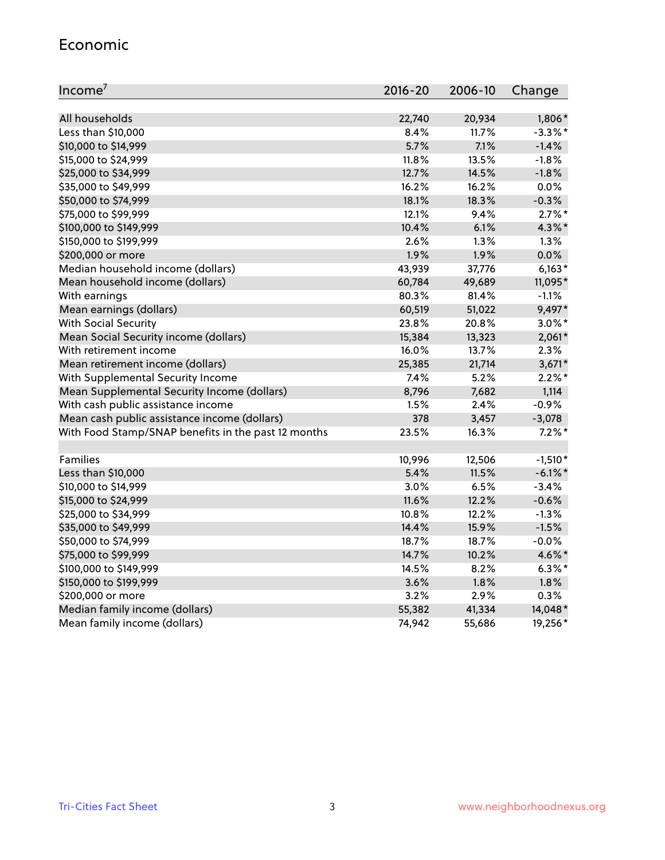#### Economic

| Income <sup>7</sup>                                 | 2016-20 | 2006-10 | Change     |
|-----------------------------------------------------|---------|---------|------------|
|                                                     |         |         |            |
| All households                                      | 22,740  | 20,934  | 1,806*     |
| Less than \$10,000                                  | 8.4%    | 11.7%   | $-3.3\%$ * |
| \$10,000 to \$14,999                                | 5.7%    | 7.1%    | $-1.4%$    |
| \$15,000 to \$24,999                                | 11.8%   | 13.5%   | $-1.8%$    |
| \$25,000 to \$34,999                                | 12.7%   | 14.5%   | $-1.8%$    |
| \$35,000 to \$49,999                                | 16.2%   | 16.2%   | 0.0%       |
| \$50,000 to \$74,999                                | 18.1%   | 18.3%   | $-0.3%$    |
| \$75,000 to \$99,999                                | 12.1%   | 9.4%    | $2.7\%$ *  |
| \$100,000 to \$149,999                              | 10.4%   | 6.1%    | 4.3%*      |
| \$150,000 to \$199,999                              | 2.6%    | 1.3%    | 1.3%       |
| \$200,000 or more                                   | 1.9%    | 1.9%    | 0.0%       |
| Median household income (dollars)                   | 43,939  | 37,776  | $6,163*$   |
| Mean household income (dollars)                     | 60,784  | 49,689  | 11,095*    |
| With earnings                                       | 80.3%   | 81.4%   | $-1.1%$    |
| Mean earnings (dollars)                             | 60,519  | 51,022  | 9,497*     |
| <b>With Social Security</b>                         | 23.8%   | 20.8%   | $3.0\%$ *  |
| Mean Social Security income (dollars)               | 15,384  | 13,323  | $2,061*$   |
| With retirement income                              | 16.0%   | 13.7%   | 2.3%       |
| Mean retirement income (dollars)                    | 25,385  | 21,714  | $3,671*$   |
| With Supplemental Security Income                   | 7.4%    | 5.2%    | $2.2\%$ *  |
| Mean Supplemental Security Income (dollars)         | 8,796   | 7,682   | 1,114      |
| With cash public assistance income                  | 1.5%    | 2.4%    | $-0.9%$    |
| Mean cash public assistance income (dollars)        | 378     | 3,457   | $-3,078$   |
| With Food Stamp/SNAP benefits in the past 12 months | 23.5%   | 16.3%   | $7.2\%$ *  |
|                                                     |         |         |            |
| Families                                            | 10,996  | 12,506  | $-1,510*$  |
| Less than \$10,000                                  | 5.4%    | 11.5%   | $-6.1\%$ * |
| \$10,000 to \$14,999                                | 3.0%    | 6.5%    | $-3.4%$    |
| \$15,000 to \$24,999                                | 11.6%   | 12.2%   | $-0.6%$    |
| \$25,000 to \$34,999                                | 10.8%   | 12.2%   | $-1.3%$    |
| \$35,000 to \$49,999                                | 14.4%   | 15.9%   | $-1.5%$    |
| \$50,000 to \$74,999                                | 18.7%   | 18.7%   | $-0.0%$    |
| \$75,000 to \$99,999                                | 14.7%   | 10.2%   | 4.6%*      |
| \$100,000 to \$149,999                              | 14.5%   | 8.2%    | $6.3\%$ *  |
| \$150,000 to \$199,999                              | 3.6%    | 1.8%    | 1.8%       |
| \$200,000 or more                                   | 3.2%    | 2.9%    | 0.3%       |
| Median family income (dollars)                      | 55,382  | 41,334  | 14,048*    |
| Mean family income (dollars)                        | 74,942  | 55,686  | 19,256*    |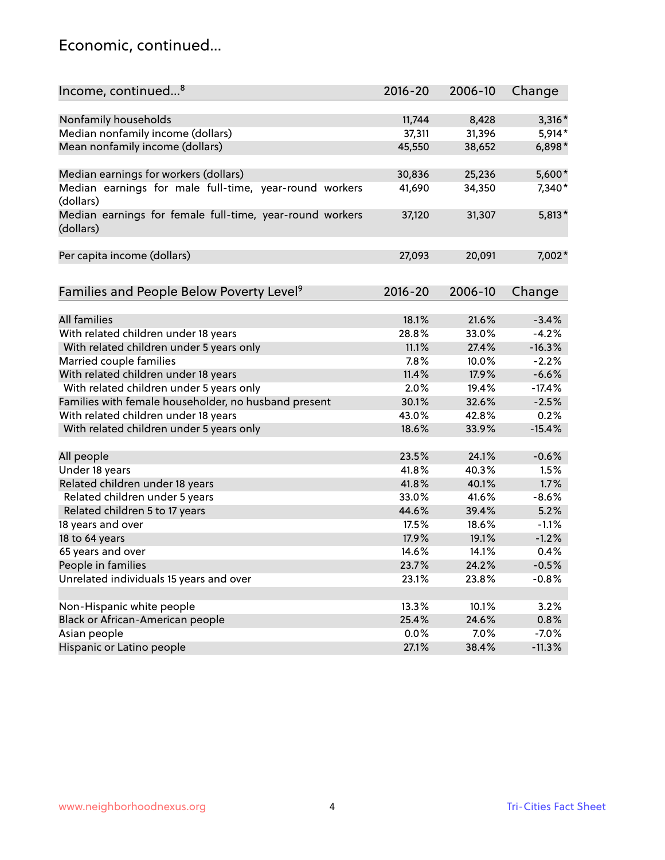#### Economic, continued...

| Income, continued <sup>8</sup><br>$2016 - 20$<br>2006-10<br>Change<br>Nonfamily households<br>11,744<br>8,428<br>$3,316*$<br>Median nonfamily income (dollars)<br>$5,914*$<br>37,311<br>31,396<br>Mean nonfamily income (dollars)<br>45,550<br>6,898*<br>38,652<br>5,600*<br>Median earnings for workers (dollars)<br>30,836<br>25,236<br>Median earnings for male full-time, year-round workers<br>34,350<br>7,340*<br>41,690<br>(dollars)<br>Median earnings for female full-time, year-round workers<br>$5,813*$<br>37,120<br>31,307<br>(dollars)<br>Per capita income (dollars)<br>20,091<br>7,002*<br>27,093 |
|-------------------------------------------------------------------------------------------------------------------------------------------------------------------------------------------------------------------------------------------------------------------------------------------------------------------------------------------------------------------------------------------------------------------------------------------------------------------------------------------------------------------------------------------------------------------------------------------------------------------|
|                                                                                                                                                                                                                                                                                                                                                                                                                                                                                                                                                                                                                   |
|                                                                                                                                                                                                                                                                                                                                                                                                                                                                                                                                                                                                                   |
|                                                                                                                                                                                                                                                                                                                                                                                                                                                                                                                                                                                                                   |
|                                                                                                                                                                                                                                                                                                                                                                                                                                                                                                                                                                                                                   |
|                                                                                                                                                                                                                                                                                                                                                                                                                                                                                                                                                                                                                   |
|                                                                                                                                                                                                                                                                                                                                                                                                                                                                                                                                                                                                                   |
|                                                                                                                                                                                                                                                                                                                                                                                                                                                                                                                                                                                                                   |
|                                                                                                                                                                                                                                                                                                                                                                                                                                                                                                                                                                                                                   |
|                                                                                                                                                                                                                                                                                                                                                                                                                                                                                                                                                                                                                   |
|                                                                                                                                                                                                                                                                                                                                                                                                                                                                                                                                                                                                                   |
|                                                                                                                                                                                                                                                                                                                                                                                                                                                                                                                                                                                                                   |
|                                                                                                                                                                                                                                                                                                                                                                                                                                                                                                                                                                                                                   |
| Families and People Below Poverty Level <sup>9</sup><br>$2016 - 20$<br>2006-10                                                                                                                                                                                                                                                                                                                                                                                                                                                                                                                                    |
| Change                                                                                                                                                                                                                                                                                                                                                                                                                                                                                                                                                                                                            |
| All families<br>18.1%<br>21.6%<br>$-3.4%$                                                                                                                                                                                                                                                                                                                                                                                                                                                                                                                                                                         |
| With related children under 18 years<br>28.8%<br>33.0%<br>$-4.2%$                                                                                                                                                                                                                                                                                                                                                                                                                                                                                                                                                 |
| With related children under 5 years only<br>$-16.3%$<br>11.1%<br>27.4%                                                                                                                                                                                                                                                                                                                                                                                                                                                                                                                                            |
| Married couple families<br>7.8%<br>$-2.2%$<br>10.0%                                                                                                                                                                                                                                                                                                                                                                                                                                                                                                                                                               |
| With related children under 18 years<br>11.4%<br>$-6.6%$<br>17.9%                                                                                                                                                                                                                                                                                                                                                                                                                                                                                                                                                 |
|                                                                                                                                                                                                                                                                                                                                                                                                                                                                                                                                                                                                                   |
| With related children under 5 years only<br>2.0%<br>19.4%<br>$-17.4%$                                                                                                                                                                                                                                                                                                                                                                                                                                                                                                                                             |
| Families with female householder, no husband present<br>32.6%<br>30.1%<br>$-2.5%$                                                                                                                                                                                                                                                                                                                                                                                                                                                                                                                                 |
| With related children under 18 years<br>43.0%<br>0.2%<br>42.8%                                                                                                                                                                                                                                                                                                                                                                                                                                                                                                                                                    |
| $-15.4%$<br>With related children under 5 years only<br>18.6%<br>33.9%                                                                                                                                                                                                                                                                                                                                                                                                                                                                                                                                            |
| All people<br>23.5%<br>24.1%<br>$-0.6%$                                                                                                                                                                                                                                                                                                                                                                                                                                                                                                                                                                           |
| Under 18 years<br>40.3%<br>1.5%<br>41.8%                                                                                                                                                                                                                                                                                                                                                                                                                                                                                                                                                                          |
| Related children under 18 years<br>41.8%<br>40.1%<br>1.7%                                                                                                                                                                                                                                                                                                                                                                                                                                                                                                                                                         |
| Related children under 5 years<br>33.0%<br>41.6%<br>$-8.6%$                                                                                                                                                                                                                                                                                                                                                                                                                                                                                                                                                       |
| Related children 5 to 17 years<br>5.2%<br>44.6%<br>39.4%                                                                                                                                                                                                                                                                                                                                                                                                                                                                                                                                                          |
| 18 years and over<br>17.5%<br>18.6%<br>$-1.1%$                                                                                                                                                                                                                                                                                                                                                                                                                                                                                                                                                                    |
| 18 to 64 years<br>$-1.2%$<br>17.9%<br>19.1%                                                                                                                                                                                                                                                                                                                                                                                                                                                                                                                                                                       |
| 65 years and over<br>14.6%<br>14.1%<br>0.4%                                                                                                                                                                                                                                                                                                                                                                                                                                                                                                                                                                       |
| People in families<br>23.7%<br>24.2%<br>$-0.5%$                                                                                                                                                                                                                                                                                                                                                                                                                                                                                                                                                                   |
| Unrelated individuals 15 years and over<br>23.1%<br>23.8%<br>$-0.8%$                                                                                                                                                                                                                                                                                                                                                                                                                                                                                                                                              |
|                                                                                                                                                                                                                                                                                                                                                                                                                                                                                                                                                                                                                   |
| Non-Hispanic white people<br>13.3%<br>10.1%<br>3.2%                                                                                                                                                                                                                                                                                                                                                                                                                                                                                                                                                               |
| Black or African-American people<br>25.4%<br>24.6%<br>0.8%                                                                                                                                                                                                                                                                                                                                                                                                                                                                                                                                                        |
| Asian people<br>$0.0\%$<br>7.0%<br>$-7.0%$                                                                                                                                                                                                                                                                                                                                                                                                                                                                                                                                                                        |
| Hispanic or Latino people<br>27.1%<br>38.4%<br>$-11.3%$                                                                                                                                                                                                                                                                                                                                                                                                                                                                                                                                                           |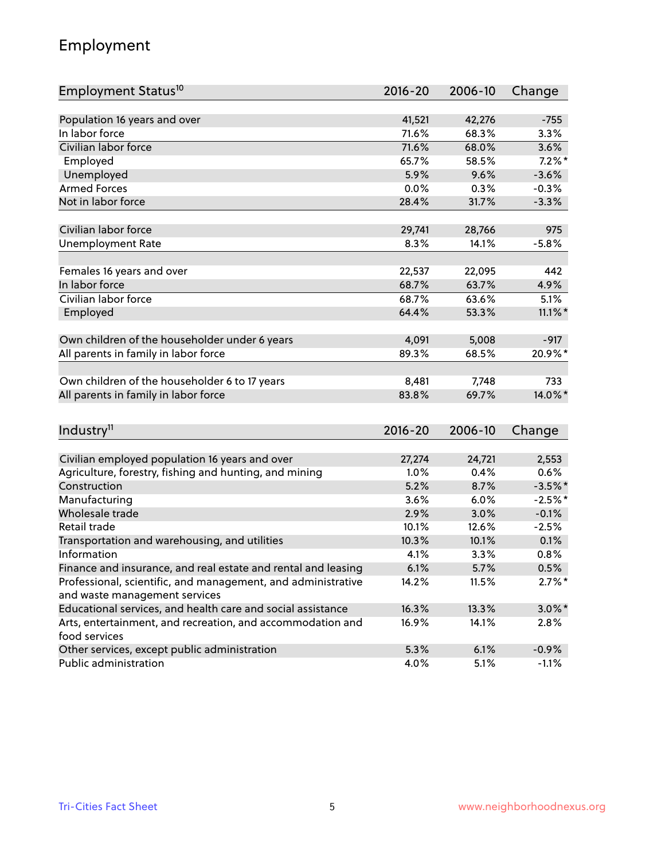## Employment

| Employment Status <sup>10</sup>                                             | $2016 - 20$ | 2006-10 | Change     |
|-----------------------------------------------------------------------------|-------------|---------|------------|
|                                                                             |             |         |            |
| Population 16 years and over                                                | 41,521      | 42,276  | $-755$     |
| In labor force                                                              | 71.6%       | 68.3%   | 3.3%       |
| Civilian labor force                                                        | 71.6%       | 68.0%   | 3.6%       |
| Employed                                                                    | 65.7%       | 58.5%   | $7.2\%$ *  |
| Unemployed                                                                  | 5.9%        | 9.6%    | $-3.6%$    |
| <b>Armed Forces</b>                                                         | 0.0%        | 0.3%    | $-0.3%$    |
| Not in labor force                                                          | 28.4%       | 31.7%   | $-3.3%$    |
|                                                                             |             |         |            |
| Civilian labor force                                                        | 29,741      | 28,766  | 975        |
| <b>Unemployment Rate</b>                                                    | 8.3%        | 14.1%   | $-5.8%$    |
| Females 16 years and over                                                   | 22,537      | 22,095  | 442        |
| In labor force                                                              | 68.7%       | 63.7%   | 4.9%       |
| Civilian labor force                                                        | 68.7%       | 63.6%   | 5.1%       |
| Employed                                                                    | 64.4%       | 53.3%   | $11.1\%$ * |
|                                                                             |             |         |            |
| Own children of the householder under 6 years                               | 4,091       | 5,008   | $-917$     |
| All parents in family in labor force                                        | 89.3%       | 68.5%   | 20.9%*     |
|                                                                             |             |         |            |
| Own children of the householder 6 to 17 years                               | 8,481       | 7,748   | 733        |
| All parents in family in labor force                                        | 83.8%       | 69.7%   | 14.0%*     |
|                                                                             |             |         |            |
| Industry <sup>11</sup>                                                      | 2016-20     | 2006-10 | Change     |
|                                                                             |             |         |            |
| Civilian employed population 16 years and over                              | 27,274      | 24,721  | 2,553      |
| Agriculture, forestry, fishing and hunting, and mining                      | 1.0%        | 0.4%    | 0.6%       |
| Construction                                                                | 5.2%        | 8.7%    | $-3.5%$ *  |
| Manufacturing                                                               | 3.6%        | 6.0%    | $-2.5%$ *  |
| Wholesale trade                                                             | 2.9%        | 3.0%    | $-0.1%$    |
| Retail trade                                                                | 10.1%       | 12.6%   | $-2.5%$    |
| Transportation and warehousing, and utilities                               | 10.3%       | 10.1%   | 0.1%       |
| Information                                                                 | 4.1%        | 3.3%    | 0.8%       |
| Finance and insurance, and real estate and rental and leasing               | 6.1%        | 5.7%    | 0.5%       |
| Professional, scientific, and management, and administrative                | 14.2%       | 11.5%   | $2.7\%$ *  |
| and waste management services                                               |             |         |            |
| Educational services, and health care and social assistance                 | 16.3%       | 13.3%   | $3.0\%$ *  |
| Arts, entertainment, and recreation, and accommodation and<br>food services | 16.9%       | 14.1%   | 2.8%       |
| Other services, except public administration                                | 5.3%        | 6.1%    | $-0.9%$    |
| Public administration                                                       | 4.0%        | 5.1%    | $-1.1%$    |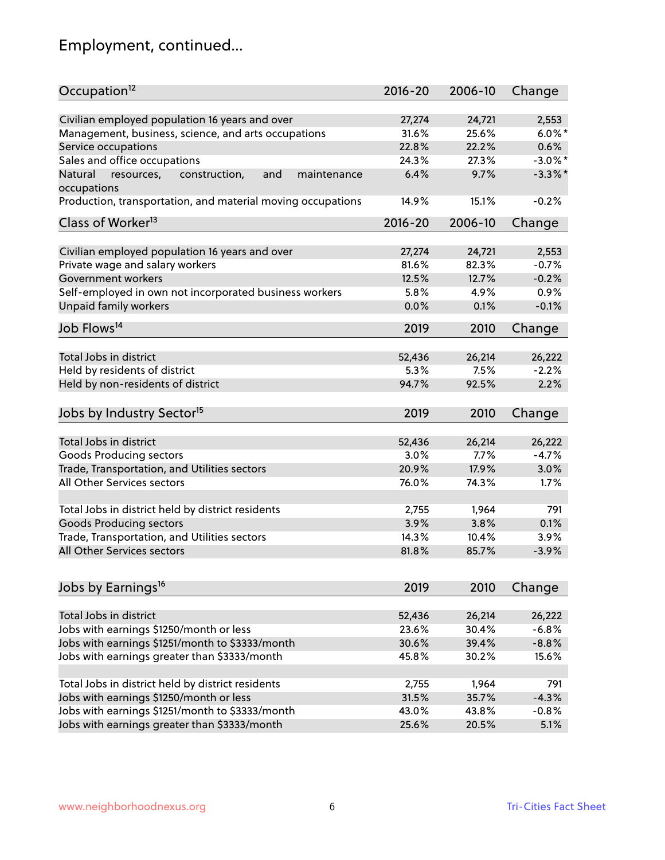# Employment, continued...

| Occupation <sup>12</sup>                                                    | $2016 - 20$ | 2006-10 | Change     |
|-----------------------------------------------------------------------------|-------------|---------|------------|
| Civilian employed population 16 years and over                              | 27,274      | 24,721  | 2,553      |
| Management, business, science, and arts occupations                         | 31.6%       | 25.6%   | $6.0\%$ *  |
| Service occupations                                                         | 22.8%       | 22.2%   | 0.6%       |
| Sales and office occupations                                                | 24.3%       | 27.3%   | $-3.0\%$ * |
|                                                                             | 6.4%        | 9.7%    | $-3.3\%$ * |
| Natural<br>and<br>resources,<br>construction,<br>maintenance<br>occupations |             |         |            |
| Production, transportation, and material moving occupations                 | 14.9%       | 15.1%   | $-0.2%$    |
| Class of Worker <sup>13</sup>                                               | $2016 - 20$ | 2006-10 | Change     |
|                                                                             |             |         |            |
| Civilian employed population 16 years and over                              | 27,274      | 24,721  | 2,553      |
| Private wage and salary workers                                             | 81.6%       | 82.3%   | $-0.7%$    |
| Government workers                                                          | 12.5%       | 12.7%   | $-0.2%$    |
| Self-employed in own not incorporated business workers                      | 5.8%        | 4.9%    | 0.9%       |
| Unpaid family workers                                                       | 0.0%        | 0.1%    | $-0.1%$    |
| Job Flows <sup>14</sup>                                                     | 2019        | 2010    | Change     |
|                                                                             |             |         |            |
| Total Jobs in district                                                      | 52,436      | 26,214  | 26,222     |
| Held by residents of district                                               | 5.3%        | 7.5%    | $-2.2%$    |
| Held by non-residents of district                                           | 94.7%       | 92.5%   | 2.2%       |
| Jobs by Industry Sector <sup>15</sup>                                       | 2019        | 2010    | Change     |
|                                                                             |             |         |            |
| Total Jobs in district                                                      | 52,436      | 26,214  | 26,222     |
| Goods Producing sectors                                                     | 3.0%        | 7.7%    | $-4.7%$    |
| Trade, Transportation, and Utilities sectors                                | 20.9%       | 17.9%   | 3.0%       |
| All Other Services sectors                                                  | 76.0%       | 74.3%   | 1.7%       |
|                                                                             |             |         |            |
| Total Jobs in district held by district residents                           | 2,755       | 1,964   | 791        |
| <b>Goods Producing sectors</b>                                              | 3.9%        | 3.8%    | 0.1%       |
| Trade, Transportation, and Utilities sectors                                | 14.3%       | 10.4%   | 3.9%       |
| All Other Services sectors                                                  | 81.8%       | 85.7%   | $-3.9%$    |
|                                                                             |             |         |            |
| Jobs by Earnings <sup>16</sup>                                              | 2019        | 2010    | Change     |
| Total Jobs in district                                                      | 52,436      | 26,214  | 26,222     |
| Jobs with earnings \$1250/month or less                                     | 23.6%       | 30.4%   | $-6.8%$    |
| Jobs with earnings \$1251/month to \$3333/month                             | 30.6%       | 39.4%   | $-8.8%$    |
| Jobs with earnings greater than \$3333/month                                | 45.8%       | 30.2%   | 15.6%      |
|                                                                             |             |         |            |
| Total Jobs in district held by district residents                           | 2,755       | 1,964   | 791        |
| Jobs with earnings \$1250/month or less                                     | 31.5%       | 35.7%   | $-4.3%$    |
| Jobs with earnings \$1251/month to \$3333/month                             | 43.0%       | 43.8%   | $-0.8%$    |
| Jobs with earnings greater than \$3333/month                                | 25.6%       | 20.5%   | 5.1%       |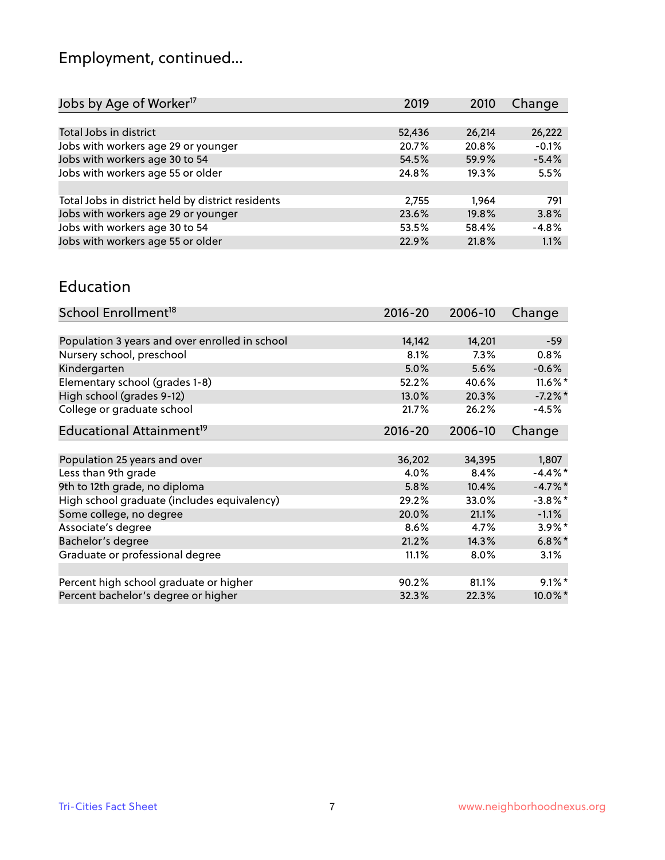# Employment, continued...

| Jobs by Age of Worker <sup>17</sup>               | 2019   | 2010   | Change  |
|---------------------------------------------------|--------|--------|---------|
|                                                   |        |        |         |
| Total Jobs in district                            | 52,436 | 26,214 | 26,222  |
| Jobs with workers age 29 or younger               | 20.7%  | 20.8%  | $-0.1%$ |
| Jobs with workers age 30 to 54                    | 54.5%  | 59.9%  | $-5.4%$ |
| Jobs with workers age 55 or older                 | 24.8%  | 19.3%  | 5.5%    |
|                                                   |        |        |         |
| Total Jobs in district held by district residents | 2,755  | 1.964  | 791     |
| Jobs with workers age 29 or younger               | 23.6%  | 19.8%  | 3.8%    |
| Jobs with workers age 30 to 54                    | 53.5%  | 58.4%  | $-4.8%$ |
| Jobs with workers age 55 or older                 | 22.9%  | 21.8%  | 1.1%    |

#### Education

| School Enrollment <sup>18</sup>                | $2016 - 20$ | 2006-10 | Change     |
|------------------------------------------------|-------------|---------|------------|
|                                                |             |         |            |
| Population 3 years and over enrolled in school | 14,142      | 14,201  | $-59$      |
| Nursery school, preschool                      | 8.1%        | 7.3%    | 0.8%       |
| Kindergarten                                   | 5.0%        | 5.6%    | $-0.6%$    |
| Elementary school (grades 1-8)                 | 52.2%       | 40.6%   | $11.6\%$ * |
| High school (grades 9-12)                      | 13.0%       | 20.3%   | $-7.2\%$ * |
| College or graduate school                     | 21.7%       | 26.2%   | $-4.5%$    |
| Educational Attainment <sup>19</sup>           | $2016 - 20$ | 2006-10 | Change     |
|                                                |             |         |            |
| Population 25 years and over                   | 36,202      | 34,395  | 1,807      |
| Less than 9th grade                            | 4.0%        | 8.4%    | $-4.4\%$ * |
| 9th to 12th grade, no diploma                  | 5.8%        | 10.4%   | $-4.7%$ *  |
| High school graduate (includes equivalency)    | 29.2%       | 33.0%   | $-3.8\%$ * |
| Some college, no degree                        | 20.0%       | 21.1%   | $-1.1%$    |
| Associate's degree                             | 8.6%        | 4.7%    | $3.9\%$ *  |
| Bachelor's degree                              | 21.2%       | 14.3%   | $6.8\%$ *  |
| Graduate or professional degree                | 11.1%       | 8.0%    | 3.1%       |
|                                                |             |         |            |
| Percent high school graduate or higher         | 90.2%       | 81.1%   | $9.1\%$ *  |
| Percent bachelor's degree or higher            | 32.3%       | 22.3%   | 10.0%*     |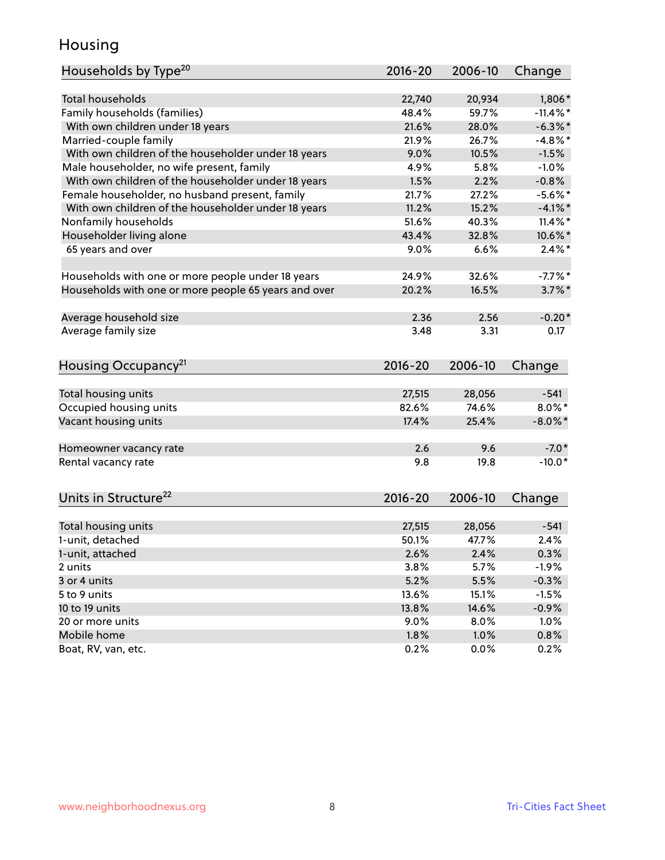## Housing

| Households by Type <sup>20</sup>                     | 2016-20     | 2006-10 | Change      |
|------------------------------------------------------|-------------|---------|-------------|
|                                                      |             |         |             |
| <b>Total households</b>                              | 22,740      | 20,934  | 1,806*      |
| Family households (families)                         | 48.4%       | 59.7%   | $-11.4\%$ * |
| With own children under 18 years                     | 21.6%       | 28.0%   | $-6.3\%$ *  |
| Married-couple family                                | 21.9%       | 26.7%   | $-4.8\%$ *  |
| With own children of the householder under 18 years  | 9.0%        | 10.5%   | $-1.5%$     |
| Male householder, no wife present, family            | 4.9%        | 5.8%    | $-1.0%$     |
| With own children of the householder under 18 years  | 1.5%        | 2.2%    | $-0.8%$     |
| Female householder, no husband present, family       | 21.7%       | 27.2%   | $-5.6\%$ *  |
| With own children of the householder under 18 years  | 11.2%       | 15.2%   | $-4.1\%$ *  |
| Nonfamily households                                 | 51.6%       | 40.3%   | $11.4\%$ *  |
| Householder living alone                             | 43.4%       | 32.8%   | 10.6%*      |
| 65 years and over                                    | 9.0%        | 6.6%    | $2.4\%$ *   |
|                                                      |             |         |             |
| Households with one or more people under 18 years    | 24.9%       | 32.6%   | $-7.7%$ *   |
| Households with one or more people 65 years and over | 20.2%       | 16.5%   | $3.7\%$ *   |
|                                                      |             |         |             |
| Average household size                               | 2.36        | 2.56    | $-0.20*$    |
| Average family size                                  | 3.48        | 3.31    | 0.17        |
| Housing Occupancy <sup>21</sup>                      | $2016 - 20$ | 2006-10 | Change      |
|                                                      |             |         |             |
| Total housing units                                  | 27,515      | 28,056  | $-541$      |
| Occupied housing units                               | 82.6%       | 74.6%   | $8.0\%$ *   |
| Vacant housing units                                 | 17.4%       | 25.4%   | $-8.0\%$ *  |
|                                                      |             |         |             |
| Homeowner vacancy rate                               | 2.6         | 9.6     | $-7.0*$     |
| Rental vacancy rate                                  | 9.8         | 19.8    | $-10.0*$    |
|                                                      |             |         |             |
| Units in Structure <sup>22</sup>                     | 2016-20     | 2006-10 | Change      |
| Total housing units                                  | 27,515      | 28,056  | $-541$      |
| 1-unit, detached                                     | 50.1%       | 47.7%   | 2.4%        |
| 1-unit, attached                                     | 2.6%        | 2.4%    | 0.3%        |
| 2 units                                              | 3.8%        | 5.7%    | $-1.9%$     |
| 3 or 4 units                                         | 5.2%        | 5.5%    | $-0.3%$     |
| 5 to 9 units                                         | 13.6%       | 15.1%   | $-1.5%$     |
| 10 to 19 units                                       | 13.8%       | 14.6%   | $-0.9%$     |
| 20 or more units                                     | $9.0\%$     | 8.0%    | 1.0%        |
| Mobile home                                          | 1.8%        | 1.0%    | $0.8\%$     |
| Boat, RV, van, etc.                                  | 0.2%        | 0.0%    | 0.2%        |
|                                                      |             |         |             |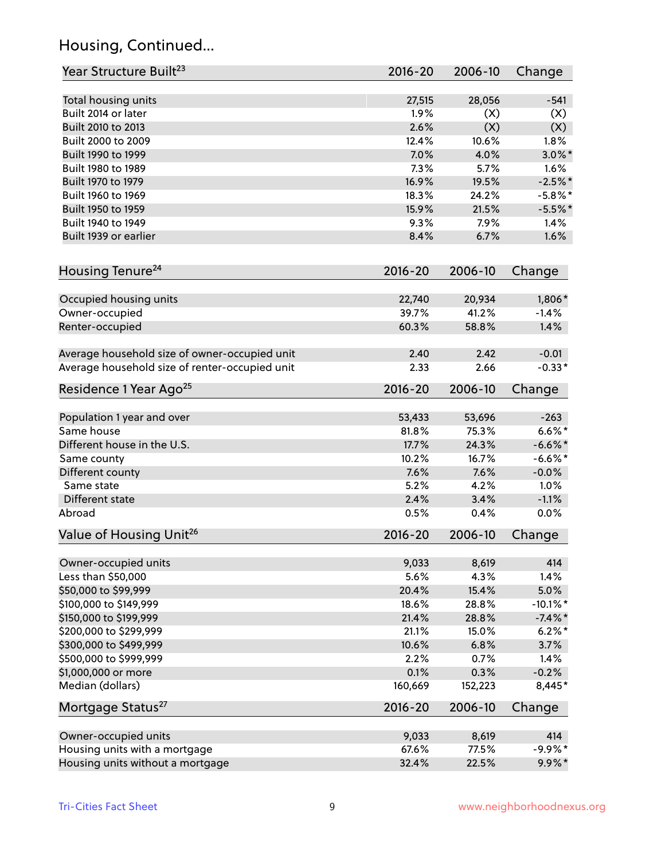## Housing, Continued...

| Year Structure Built <sup>23</sup>             | 2016-20     | 2006-10 | Change      |
|------------------------------------------------|-------------|---------|-------------|
| Total housing units                            | 27,515      | 28,056  | $-541$      |
| Built 2014 or later                            | 1.9%        | (X)     | (X)         |
| Built 2010 to 2013                             | 2.6%        | (X)     | (X)         |
| Built 2000 to 2009                             | 12.4%       | 10.6%   | 1.8%        |
| Built 1990 to 1999                             | 7.0%        | 4.0%    | $3.0\%$ *   |
| Built 1980 to 1989                             | 7.3%        | 5.7%    | 1.6%        |
| Built 1970 to 1979                             | 16.9%       | 19.5%   | $-2.5%$ *   |
| Built 1960 to 1969                             | 18.3%       | 24.2%   | $-5.8\%$ *  |
| Built 1950 to 1959                             | 15.9%       | 21.5%   | $-5.5%$ *   |
| Built 1940 to 1949                             | 9.3%        | 7.9%    | 1.4%        |
|                                                |             | 6.7%    | 1.6%        |
| Built 1939 or earlier                          | 8.4%        |         |             |
| Housing Tenure <sup>24</sup>                   | $2016 - 20$ | 2006-10 | Change      |
| Occupied housing units                         | 22,740      | 20,934  | 1,806*      |
| Owner-occupied                                 | 39.7%       | 41.2%   | $-1.4%$     |
| Renter-occupied                                | 60.3%       | 58.8%   | 1.4%        |
|                                                |             |         |             |
| Average household size of owner-occupied unit  | 2.40        | 2.42    | $-0.01$     |
| Average household size of renter-occupied unit | 2.33        | 2.66    | $-0.33*$    |
| Residence 1 Year Ago <sup>25</sup>             | $2016 - 20$ | 2006-10 | Change      |
|                                                |             |         |             |
| Population 1 year and over                     | 53,433      | 53,696  | $-263$      |
| Same house                                     | 81.8%       | 75.3%   | $6.6\%$ *   |
| Different house in the U.S.                    | 17.7%       | 24.3%   | $-6.6\%$ *  |
| Same county                                    | 10.2%       | 16.7%   | $-6.6%$ *   |
| Different county                               | 7.6%        | 7.6%    | $-0.0%$     |
| Same state                                     | 5.2%        | 4.2%    | 1.0%        |
| Different state                                | 2.4%        | 3.4%    | $-1.1%$     |
| Abroad                                         | 0.5%        | 0.4%    | 0.0%        |
| Value of Housing Unit <sup>26</sup>            | $2016 - 20$ | 2006-10 | Change      |
|                                                |             |         |             |
| Owner-occupied units                           | 9,033       | 8,619   | 414         |
| Less than \$50,000                             | 5.6%        | 4.3%    | 1.4%        |
| \$50,000 to \$99,999                           | 20.4%       | 15.4%   | 5.0%        |
| \$100,000 to \$149,999                         | 18.6%       | 28.8%   | $-10.1\%$ * |
| \$150,000 to \$199,999                         | 21.4%       | 28.8%   | $-7.4\%$ *  |
| \$200,000 to \$299,999                         | 21.1%       | 15.0%   | $6.2\%$ *   |
| \$300,000 to \$499,999                         | 10.6%       | 6.8%    | 3.7%        |
| \$500,000 to \$999,999                         | 2.2%        | 0.7%    | 1.4%        |
| \$1,000,000 or more                            | 0.1%        | 0.3%    | $-0.2%$     |
| Median (dollars)                               | 160,669     | 152,223 | 8,445*      |
| Mortgage Status <sup>27</sup>                  | $2016 - 20$ | 2006-10 | Change      |
| Owner-occupied units                           | 9,033       | 8,619   | 414         |
| Housing units with a mortgage                  | 67.6%       | 77.5%   | $-9.9%$ *   |
| Housing units without a mortgage               | 32.4%       | 22.5%   | $9.9\%*$    |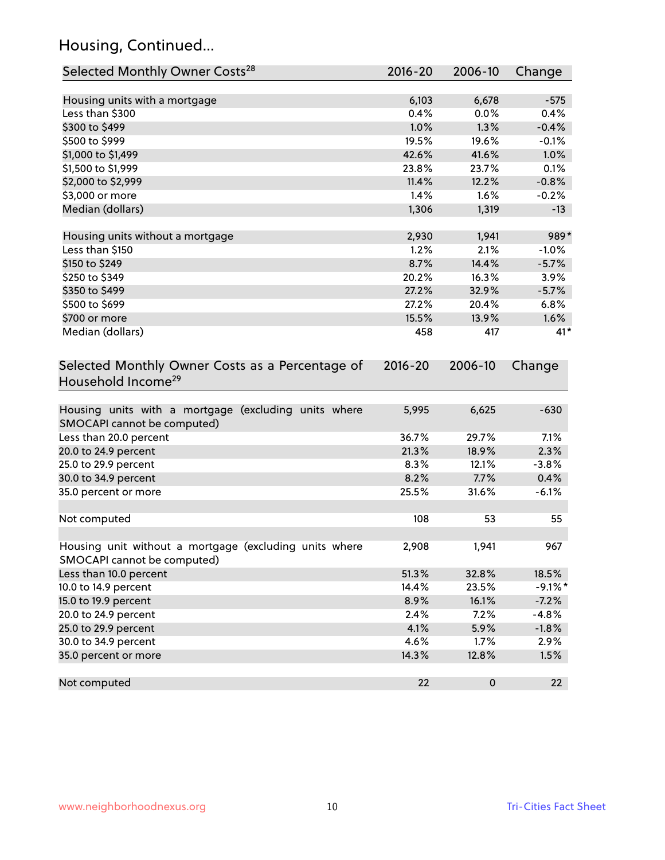## Housing, Continued...

| Selected Monthly Owner Costs <sup>28</sup>                                            | 2016-20     | 2006-10   | Change     |
|---------------------------------------------------------------------------------------|-------------|-----------|------------|
| Housing units with a mortgage                                                         | 6,103       | 6,678     | $-575$     |
| Less than \$300                                                                       | 0.4%        | 0.0%      | 0.4%       |
| \$300 to \$499                                                                        | 1.0%        | 1.3%      | $-0.4%$    |
| \$500 to \$999                                                                        | 19.5%       | 19.6%     | $-0.1%$    |
| \$1,000 to \$1,499                                                                    | 42.6%       | 41.6%     | 1.0%       |
| \$1,500 to \$1,999                                                                    | 23.8%       | 23.7%     | 0.1%       |
| \$2,000 to \$2,999                                                                    | 11.4%       | 12.2%     | $-0.8%$    |
| \$3,000 or more                                                                       | 1.4%        | 1.6%      | $-0.2%$    |
| Median (dollars)                                                                      | 1,306       | 1,319     | $-13$      |
|                                                                                       |             |           |            |
| Housing units without a mortgage                                                      | 2,930       | 1,941     | 989*       |
| Less than \$150                                                                       | 1.2%        | 2.1%      | $-1.0%$    |
| \$150 to \$249                                                                        | 8.7%        | 14.4%     | $-5.7%$    |
| \$250 to \$349                                                                        | 20.2%       | 16.3%     | 3.9%       |
| \$350 to \$499                                                                        | 27.2%       | 32.9%     | $-5.7%$    |
| \$500 to \$699                                                                        | 27.2%       | 20.4%     | 6.8%       |
| \$700 or more                                                                         | 15.5%       | 13.9%     | 1.6%       |
| Median (dollars)                                                                      | 458         | 417       | $41*$      |
| Selected Monthly Owner Costs as a Percentage of<br>Household Income <sup>29</sup>     | $2016 - 20$ | 2006-10   | Change     |
| Housing units with a mortgage (excluding units where<br>SMOCAPI cannot be computed)   | 5,995       | 6,625     | $-630$     |
| Less than 20.0 percent                                                                | 36.7%       | 29.7%     | 7.1%       |
| 20.0 to 24.9 percent                                                                  | 21.3%       | 18.9%     | 2.3%       |
| 25.0 to 29.9 percent                                                                  | 8.3%        | 12.1%     | $-3.8%$    |
| 30.0 to 34.9 percent                                                                  | 8.2%        | 7.7%      | 0.4%       |
| 35.0 percent or more                                                                  | 25.5%       | 31.6%     | $-6.1%$    |
| Not computed                                                                          | 108         | 53        | 55         |
| Housing unit without a mortgage (excluding units where<br>SMOCAPI cannot be computed) | 2,908       | 1,941     | 967        |
| Less than 10.0 percent                                                                | 51.3%       | 32.8%     | 18.5%      |
| 10.0 to 14.9 percent                                                                  | 14.4%       | 23.5%     | $-9.1\%$ * |
| 15.0 to 19.9 percent                                                                  | 8.9%        | 16.1%     | $-7.2%$    |
| 20.0 to 24.9 percent                                                                  | 2.4%        | 7.2%      | $-4.8%$    |
| 25.0 to 29.9 percent                                                                  | 4.1%        | 5.9%      | $-1.8%$    |
| 30.0 to 34.9 percent                                                                  | 4.6%        | 1.7%      | 2.9%       |
| 35.0 percent or more                                                                  | 14.3%       | 12.8%     | 1.5%       |
| Not computed                                                                          | 22          | $\pmb{0}$ | 22         |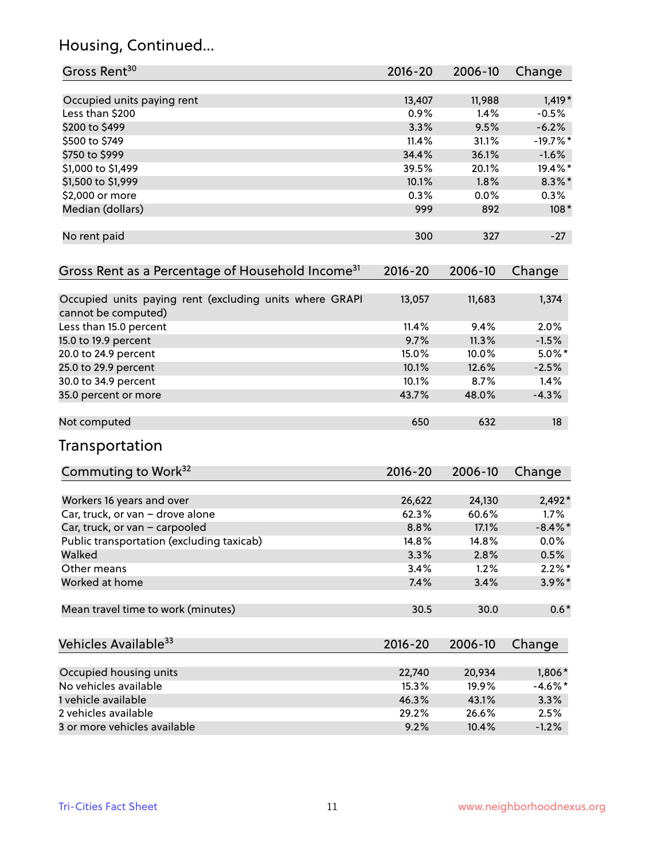## Housing, Continued...

| Gross Rent <sup>30</sup>                                                       | 2016-20     | 2006-10 | Change          |
|--------------------------------------------------------------------------------|-------------|---------|-----------------|
| Occupied units paying rent                                                     | 13,407      | 11,988  | $1,419*$        |
| Less than \$200                                                                | 0.9%        | 1.4%    | $-0.5%$         |
| \$200 to \$499                                                                 | 3.3%        | 9.5%    | $-6.2%$         |
| \$500 to \$749                                                                 | 11.4%       | 31.1%   | $-19.7%$ *      |
| \$750 to \$999                                                                 | 34.4%       | 36.1%   | $-1.6%$         |
| \$1,000 to \$1,499                                                             | 39.5%       | 20.1%   | 19.4%*          |
| \$1,500 to \$1,999                                                             | 10.1%       | 1.8%    | $8.3\%$ *       |
| \$2,000 or more                                                                | 0.3%        | 0.0%    | $0.3\%$         |
| Median (dollars)                                                               | 999         | 892     | $108*$          |
| No rent paid                                                                   | 300         | 327     | $-27$           |
| Gross Rent as a Percentage of Household Income <sup>31</sup>                   | $2016 - 20$ | 2006-10 | Change          |
| Occupied units paying rent (excluding units where GRAPI<br>cannot be computed) | 13,057      | 11,683  | 1,374           |
| Less than 15.0 percent                                                         | 11.4%       | 9.4%    | 2.0%            |
| 15.0 to 19.9 percent                                                           | 9.7%        | 11.3%   | $-1.5%$         |
| 20.0 to 24.9 percent                                                           | 15.0%       | 10.0%   | $5.0\%$ *       |
| 25.0 to 29.9 percent                                                           | 10.1%       | 12.6%   | $-2.5%$         |
| 30.0 to 34.9 percent                                                           | 10.1%       | 8.7%    | 1.4%            |
| 35.0 percent or more                                                           | 43.7%       | 48.0%   | $-4.3%$         |
| Not computed                                                                   | 650         | 632     | 18 <sup>°</sup> |
| Transportation                                                                 |             |         |                 |
| Commuting to Work <sup>32</sup>                                                | 2016-20     | 2006-10 | Change          |
| Workers 16 years and over                                                      | 26,622      | 24,130  | $2,492*$        |
| Car, truck, or van - drove alone                                               | 62.3%       | 60.6%   | 1.7%            |
| Car, truck, or van - carpooled                                                 | 8.8%        | 17.1%   | $-8.4\%$ *      |
| Public transportation (excluding taxicab)                                      | 14.8%       | 14.8%   | 0.0%            |
| Walked                                                                         | 3.3%        | 2.8%    | 0.5%            |
| Other means                                                                    | 3.4%        | 1.2%    | $2.2\%$ *       |
| Worked at home                                                                 | 7.4%        | 3.4%    | 3.9%*           |
| Mean travel time to work (minutes)                                             | 30.5        | 30.0    | $0.6*$          |
| Vehicles Available <sup>33</sup>                                               | 2016-20     | 2006-10 | Change          |
| Occupied housing units                                                         | 22,740      | 20,934  | 1,806*          |
| No vehicles available                                                          | 15.3%       | 19.9%   | $-4.6\%$ *      |
| 1 vehicle available                                                            | 46.3%       | 43.1%   | 3.3%            |
| 2 vehicles available                                                           | 29.2%       | 26.6%   | 2.5%            |
| 3 or more vehicles available                                                   | 9.2%        | 10.4%   | $-1.2%$         |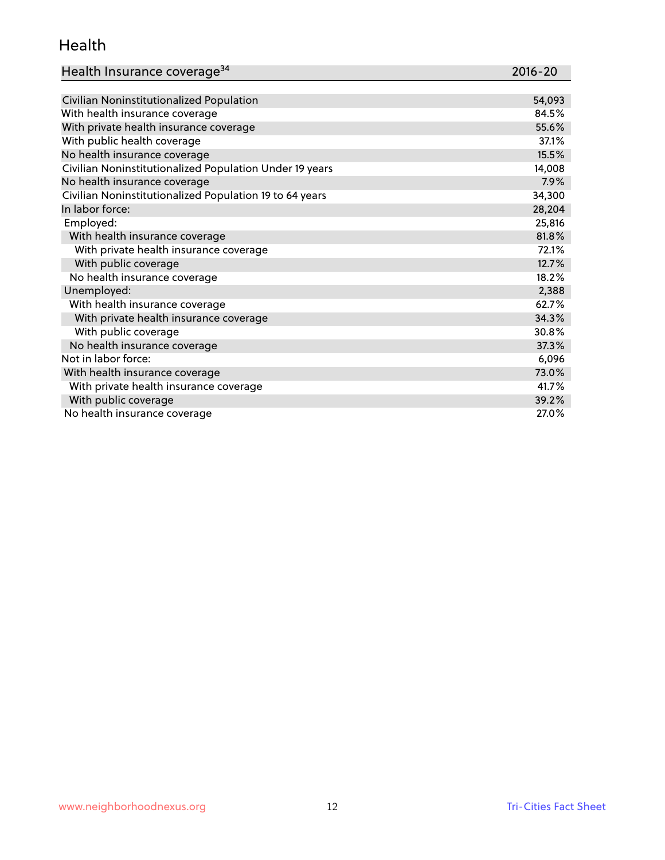#### Health

| Health Insurance coverage <sup>34</sup> | 2016-20 |
|-----------------------------------------|---------|
|-----------------------------------------|---------|

| Civilian Noninstitutionalized Population                | 54,093 |
|---------------------------------------------------------|--------|
| With health insurance coverage                          | 84.5%  |
| With private health insurance coverage                  | 55.6%  |
| With public health coverage                             | 37.1%  |
| No health insurance coverage                            | 15.5%  |
| Civilian Noninstitutionalized Population Under 19 years | 14,008 |
| No health insurance coverage                            | 7.9%   |
| Civilian Noninstitutionalized Population 19 to 64 years | 34,300 |
| In labor force:                                         | 28,204 |
| Employed:                                               | 25,816 |
| With health insurance coverage                          | 81.8%  |
| With private health insurance coverage                  | 72.1%  |
| With public coverage                                    | 12.7%  |
| No health insurance coverage                            | 18.2%  |
| Unemployed:                                             | 2,388  |
| With health insurance coverage                          | 62.7%  |
| With private health insurance coverage                  | 34.3%  |
| With public coverage                                    | 30.8%  |
| No health insurance coverage                            | 37.3%  |
| Not in labor force:                                     | 6,096  |
| With health insurance coverage                          | 73.0%  |
| With private health insurance coverage                  | 41.7%  |
| With public coverage                                    | 39.2%  |
| No health insurance coverage                            | 27.0%  |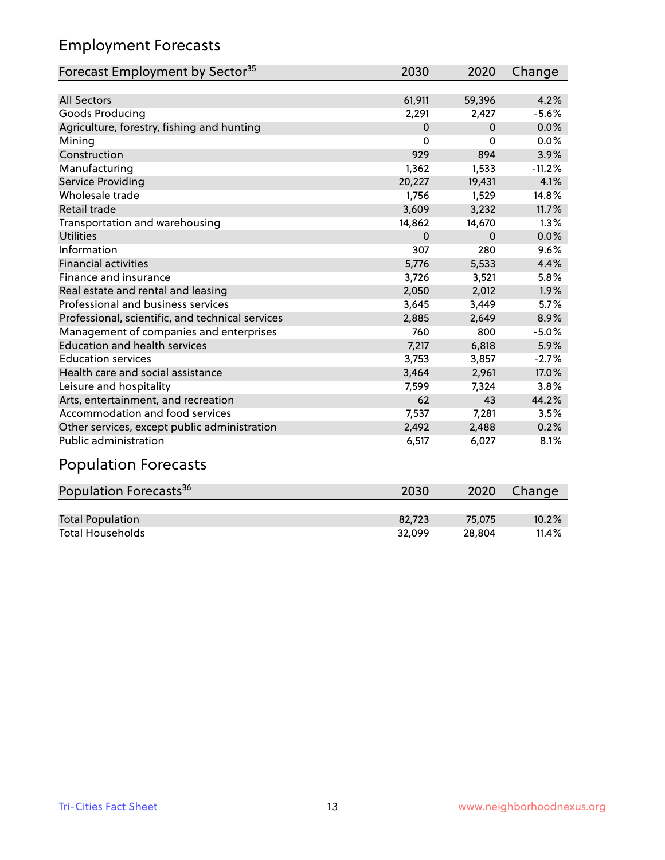## Employment Forecasts

| Forecast Employment by Sector <sup>35</sup>      | 2030        | 2020         | Change   |
|--------------------------------------------------|-------------|--------------|----------|
|                                                  |             |              |          |
| <b>All Sectors</b>                               | 61,911      | 59,396       | 4.2%     |
| Goods Producing                                  | 2,291       | 2,427        | $-5.6%$  |
| Agriculture, forestry, fishing and hunting       | $\Omega$    | $\mathbf{0}$ | 0.0%     |
| Mining                                           | 0           | $\Omega$     | 0.0%     |
| Construction                                     | 929         | 894          | 3.9%     |
| Manufacturing                                    | 1,362       | 1,533        | $-11.2%$ |
| Service Providing                                | 20,227      | 19,431       | 4.1%     |
| Wholesale trade                                  | 1.756       | 1,529        | 14.8%    |
| Retail trade                                     | 3,609       | 3,232        | 11.7%    |
| Transportation and warehousing                   | 14,862      | 14,670       | 1.3%     |
| <b>Utilities</b>                                 | $\mathbf 0$ | $\Omega$     | 0.0%     |
| Information                                      | 307         | 280          | 9.6%     |
| <b>Financial activities</b>                      | 5,776       | 5,533        | 4.4%     |
| Finance and insurance                            | 3,726       | 3,521        | 5.8%     |
| Real estate and rental and leasing               | 2,050       | 2,012        | 1.9%     |
| Professional and business services               | 3,645       | 3,449        | 5.7%     |
| Professional, scientific, and technical services | 2,885       | 2,649        | 8.9%     |
| Management of companies and enterprises          | 760         | 800          | $-5.0%$  |
| <b>Education and health services</b>             | 7,217       | 6,818        | 5.9%     |
| <b>Education services</b>                        | 3,753       | 3,857        | $-2.7%$  |
| Health care and social assistance                | 3,464       | 2,961        | 17.0%    |
| Leisure and hospitality                          | 7,599       | 7.324        | 3.8%     |
| Arts, entertainment, and recreation              | 62          | 43           | 44.2%    |
| Accommodation and food services                  | 7,537       | 7,281        | 3.5%     |
| Other services, except public administration     | 2,492       | 2,488        | 0.2%     |
| <b>Public administration</b>                     | 6,517       | 6,027        | 8.1%     |
|                                                  |             |              |          |

#### Population Forecasts

| Population Forecasts <sup>36</sup> | 2030   | 2020   | Change |
|------------------------------------|--------|--------|--------|
|                                    |        |        |        |
| <b>Total Population</b>            | 82.723 | 75.075 | 10.2%  |
| <b>Total Households</b>            | 32.099 | 28.804 | 11.4%  |